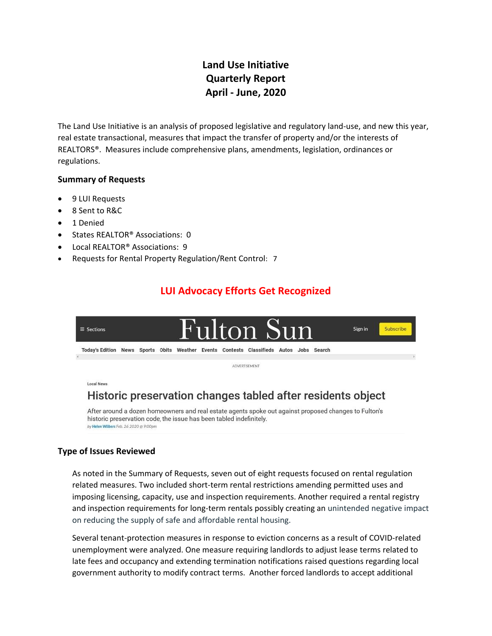## **Land Use Initiative Quarterly Report April - June, 2020**

The Land Use Initiative is an analysis of proposed legislative and regulatory land-use, and new this year, real estate transactional, measures that impact the transfer of property and/or the interests of REALTORS®. Measures include comprehensive plans, amendments, legislation, ordinances or regulations.

### **Summary of Requests**

- 9 LUI Requests
- 8 Sent to R&C
- 1 Denied
- States REALTOR® Associations: 0
- Local REALTOR® Associations: 9
- Requests for Rental Property Regulation/Rent Control: 7

## **LUI Advocacy Efforts Get Recognized**



# Historic preservation changes tabled after residents object

After around a dozen homeowners and real estate agents spoke out against proposed changes to Fulton's historic preservation code, the issue has been tabled indefinitely. by Helen Wilbers Feb. 26 2020 @ 9:00pm

### **Type of Issues Reviewed**

As noted in the Summary of Requests, seven out of eight requests focused on rental regulation related measures. Two included short-term rental restrictions amending permitted uses and imposing licensing, capacity, use and inspection requirements. Another required a rental registry and inspection requirements for long-term rentals possibly creating an unintended negative impact on reducing the supply of safe and affordable rental housing.

Several tenant-protection measures in response to eviction concerns as a result of COVID-related unemployment were analyzed. One measure requiring landlords to adjust lease terms related to late fees and occupancy and extending termination notifications raised questions regarding local government authority to modify contract terms. Another forced landlords to accept additional